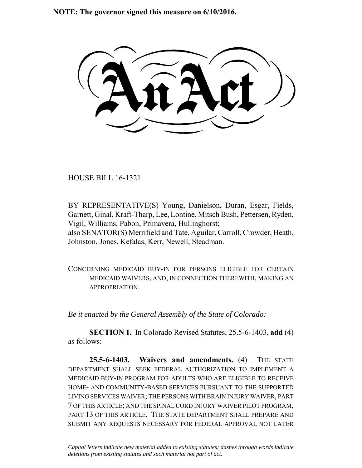**NOTE: The governor signed this measure on 6/10/2016.**

HOUSE BILL 16-1321

 $\frac{1}{2}$ 

BY REPRESENTATIVE(S) Young, Danielson, Duran, Esgar, Fields, Garnett, Ginal, Kraft-Tharp, Lee, Lontine, Mitsch Bush, Pettersen, Ryden, Vigil, Williams, Pabon, Primavera, Hullinghorst; also SENATOR(S) Merrifield and Tate, Aguilar, Carroll, Crowder, Heath, Johnston, Jones, Kefalas, Kerr, Newell, Steadman.

CONCERNING MEDICAID BUY-IN FOR PERSONS ELIGIBLE FOR CERTAIN MEDICAID WAIVERS, AND, IN CONNECTION THEREWITH, MAKING AN APPROPRIATION.

*Be it enacted by the General Assembly of the State of Colorado:*

**SECTION 1.** In Colorado Revised Statutes, 25.5-6-1403, **add** (4) as follows:

**25.5-6-1403. Waivers and amendments.** (4) THE STATE DEPARTMENT SHALL SEEK FEDERAL AUTHORIZATION TO IMPLEMENT A MEDICAID BUY-IN PROGRAM FOR ADULTS WHO ARE ELIGIBLE TO RECEIVE HOME- AND COMMUNITY-BASED SERVICES PURSUANT TO THE SUPPORTED LIVING SERVICES WAIVER; THE PERSONS WITH BRAIN INJURY WAIVER, PART 7 OF THIS ARTICLE; AND THE SPINAL CORD INJURY WAIVER PILOT PROGRAM, PART 13 OF THIS ARTICLE. THE STATE DEPARTMENT SHALL PREPARE AND SUBMIT ANY REQUESTS NECESSARY FOR FEDERAL APPROVAL NOT LATER

*Capital letters indicate new material added to existing statutes; dashes through words indicate deletions from existing statutes and such material not part of act.*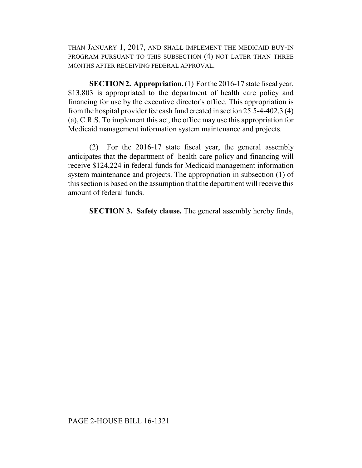THAN JANUARY 1, 2017, AND SHALL IMPLEMENT THE MEDICAID BUY-IN PROGRAM PURSUANT TO THIS SUBSECTION (4) NOT LATER THAN THREE MONTHS AFTER RECEIVING FEDERAL APPROVAL.

**SECTION 2. Appropriation.** (1) For the 2016-17 state fiscal year, \$13,803 is appropriated to the department of health care policy and financing for use by the executive director's office. This appropriation is from the hospital provider fee cash fund created in section 25.5-4-402.3 (4) (a), C.R.S. To implement this act, the office may use this appropriation for Medicaid management information system maintenance and projects.

(2) For the 2016-17 state fiscal year, the general assembly anticipates that the department of health care policy and financing will receive \$124,224 in federal funds for Medicaid management information system maintenance and projects. The appropriation in subsection (1) of this section is based on the assumption that the department will receive this amount of federal funds.

**SECTION 3. Safety clause.** The general assembly hereby finds,